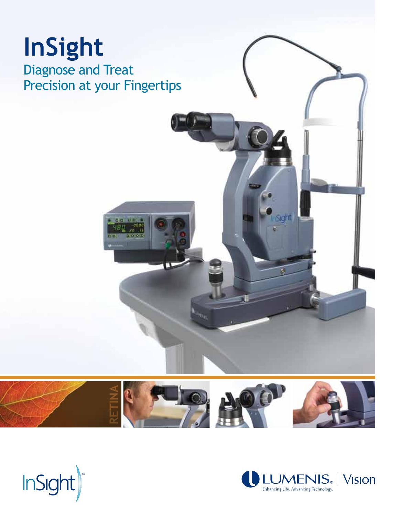# **InSight** Diagnose and Treat Precision at your Fingertips





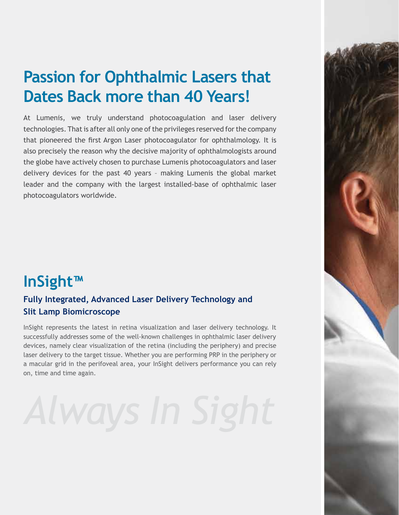# **Passion for Ophthalmic Lasers that Dates Back more than 40 Years!**

At Lumenis, we truly understand photocoagulation and laser delivery technologies. That is after all only one of the privileges reserved for the company that pioneered the first Argon Laser photocoagulator for ophthalmology. It is also precisely the reason why the decisive majority of ophthalmologists around the globe have actively chosen to purchase Lumenis photocoagulators and laser delivery devices for the past 40 years – making Lumenis the global market leader and the company with the largest installed-base of ophthalmic laser photocoagulators worldwide.

# **InSight™**

# **Fully Integrated, Advanced Laser Delivery Technology and Slit Lamp Biomicroscope**

InSight represents the latest in retina visualization and laser delivery technology. It successfully addresses some of the well-known challenges in ophthalmic laser delivery devices, namely clear visualization of the retina (including the periphery) and precise laser delivery to the target tissue. Whether you are performing PRP in the periphery or a macular grid in the perifoveal area, your InSight delivers performance you can rely on, time and time again.

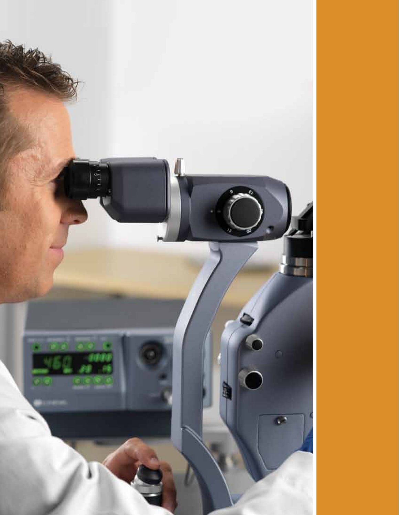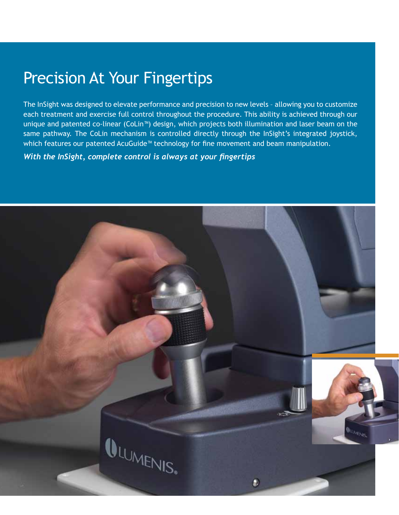# Precision At Your Fingertips

The InSight was designed to elevate performance and precision to new levels – allowing you to customize each treatment and exercise full control throughout the procedure. This ability is achieved through our unique and patented co-linear (CoLin™) design, which projects both illumination and laser beam on the same pathway. The CoLin mechanism is controlled directly through the InSight's integrated joystick, which features our patented AcuGuide™ technology for fine movement and beam manipulation.

*With the InSight, complete control is always at your fingertips*

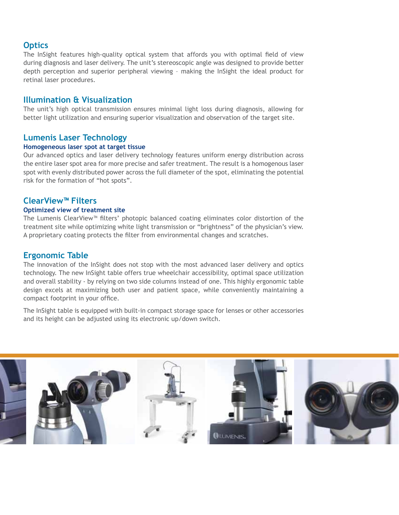## **Optics**

The InSight features high-quality optical system that affords you with optimal field of view during diagnosis and laser delivery. The unit's stereoscopic angle was designed to provide better depth perception and superior peripheral viewing – making the InSight the ideal product for retinal laser procedures.

### **Illumination & Visualization**

The unit's high optical transmission ensures minimal light loss during diagnosis, allowing for better light utilization and ensuring superior visualization and observation of the target site.

### **Lumenis Laser Technology**

### **Homogeneous laser spot at target tissue**

Our advanced optics and laser delivery technology features uniform energy distribution across the entire laser spot area for more precise and safer treatment. The result is a homogenous laser spot with evenly distributed power across the full diameter of the spot, eliminating the potential risk for the formation of "hot spots".

### **ClearView™ Filters**

### **Optimized view of treatment site**

The Lumenis ClearView™ filters' photopic balanced coating eliminates color distortion of the treatment site while optimizing white light transmission or "brightness" of the physician's view. A proprietary coating protects the filter from environmental changes and scratches.

### **Ergonomic Table**

The innovation of the InSight does not stop with the most advanced laser delivery and optics technology. The new InSight table offers true wheelchair accessibility, optimal space utilization and overall stability - by relying on two side columns instead of one. This highly ergonomic table design excels at maximizing both user and patient space, while conveniently maintaining a compact footprint in your office.

The InSight table is equipped with built-in compact storage space for lenses or other accessories and its height can be adjusted using its electronic up/down switch.

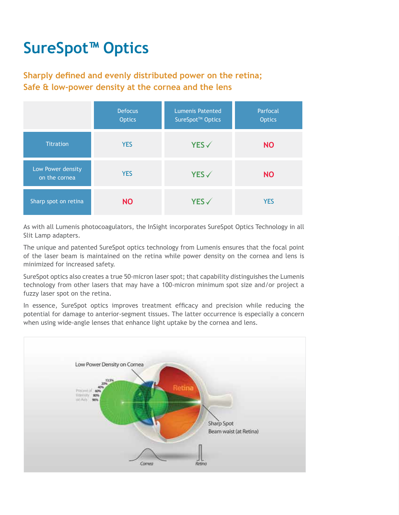# **SureSpot™ Optics**

## **Sharply defined and evenly distributed power on the retina; Safe & low-power density at the cornea and the lens**

|                                    | <b>Defocus</b><br><b>Optics</b> | <b>Lumenis Patented</b><br>SureSpot™ Optics | Parfocal<br><b>Optics</b> |
|------------------------------------|---------------------------------|---------------------------------------------|---------------------------|
| <b>Titration</b>                   | <b>YES</b>                      | YES√                                        | <b>NO</b>                 |
| Low Power density<br>on the cornea | <b>YES</b>                      | YES√                                        | <b>NO</b>                 |
| Sharp spot on retina               | <b>NO</b>                       | YES√                                        | <b>YES</b>                |

As with all Lumenis photocoagulators, the InSight incorporates SureSpot Optics Technology in all Slit Lamp adapters.

The unique and patented SureSpot optics technology from Lumenis ensures that the focal point of the laser beam is maintained on the retina while power density on the cornea and lens is minimized for increased safety.

SureSpot optics also creates a true 50-micron laser spot; that capability distinguishes the Lumenis technology from other lasers that may have a 100-micron minimum spot size and/or project a fuzzy laser spot on the retina.

In essence, SureSpot optics improves treatment efficacy and precision while reducing the potential for damage to anterior-segment tissues. The latter occurrence is especially a concern when using wide-angle lenses that enhance light uptake by the cornea and lens.

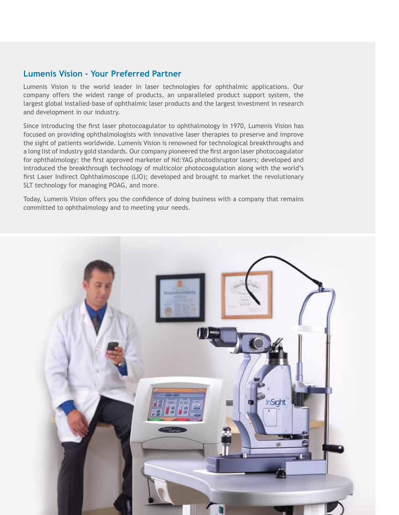## **Lumenis Vision – Your Preferred Partner**

Lumenis Vision is the world leader in laser technologies for ophthalmic applications. Our company offers the widest range of products, an unparalleled product support system, the largest global installed-base of ophthalmic laser products and the largest investment in research and development in our industry.

Since introducing the first laser photocoagulator to ophthalmology in 1970, Lumenis Vision has focused on providing ophthalmologists with innovative laser therapies to preserve and improve the sight of patients worldwide. Lumenis Vision is renowned for technological breakthroughs and a long list of industry gold standards. Our company pioneered the first argon laser photocoagulator for ophthalmology; the first approved marketer of Nd:YAG photodisruptor lasers; developed and introduced the breakthrough technology of multicolor photocoagulation along with the world's first Laser Indirect Ophthalmoscope (LIO); developed and brought to market the revolutionary SLT technology for managing POAG, and more.

Today, Lumenis Vision offers you the confidence of doing business with a company that remains committed to ophthalmology and to meeting your needs.